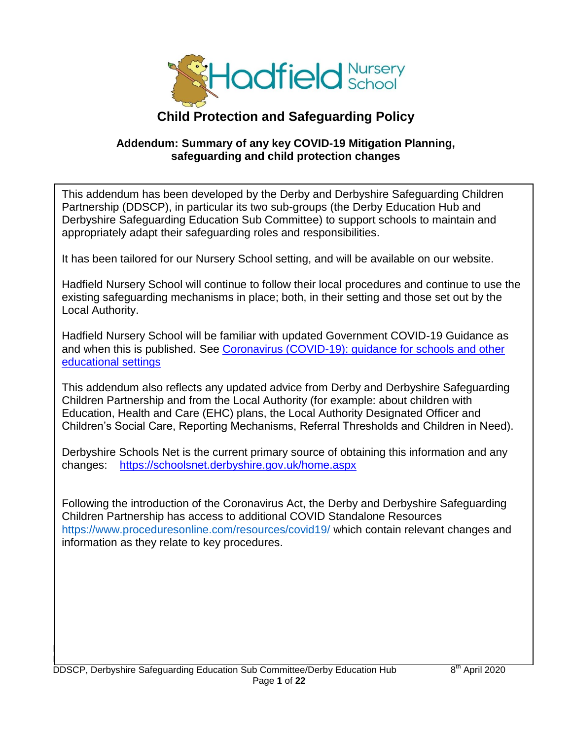

# **Child Protection and Safeguarding Policy**

#### **Addendum: Summary of any key COVID-19 Mitigation Planning, safeguarding and child protection changes**

This addendum has been developed by the Derby and Derbyshire Safeguarding Children Partnership (DDSCP), in particular its two sub-groups (the Derby Education Hub and Derbyshire Safeguarding Education Sub Committee) to support schools to maintain and appropriately adapt their safeguarding roles and responsibilities.

It has been tailored for our Nursery School setting, and will be available on our website.

Hadfield Nursery School will continue to follow their local procedures and continue to use the existing safeguarding mechanisms in place; both, in their setting and those set out by the Local Authority.

Hadfield Nursery School will be familiar with updated Government COVID-19 Guidance as and when this is published. See [Coronavirus \(COVID-19\): guidance for schools and other](https://www.gov.uk/government/collections/coronavirus-covid-19-guidance-for-schools-and-other-educational-settings)  [educational settings](https://www.gov.uk/government/collections/coronavirus-covid-19-guidance-for-schools-and-other-educational-settings)

This addendum also reflects any updated advice from Derby and Derbyshire Safeguarding Children Partnership and from the Local Authority (for example: about children with Education, Health and Care (EHC) plans, the Local Authority Designated Officer and Children's Social Care, Reporting Mechanisms, Referral Thresholds and Children in Need).

Derbyshire Schools Net is the current primary source of obtaining this information and any changes: <https://schoolsnet.derbyshire.gov.uk/home.aspx>

Following the introduction of the Coronavirus Act, the Derby and Derbyshire Safeguarding Children Partnership has access to additional COVID Standalone Resources <https://www.proceduresonline.com/resources/covid19/> which contain relevant changes and information as they relate to key procedures.

Hadfield Nursery School Addendum to Child Protection and Safeguarding Policy (Summary of any key COID-19  $M_{\rm H}$  , safeguarding and child protection  $P$  and child protection changes) 10th April 2020  $\pm$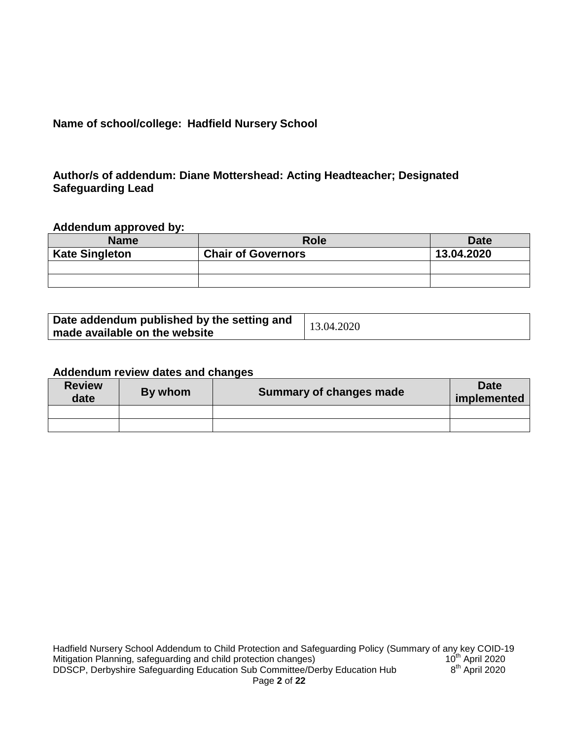# **Name of school/college: Hadfield Nursery School**

#### **Author/s of addendum: Diane Mottershead: Acting Headteacher; Designated Safeguarding Lead**

#### **Addendum approved by:**

| <b>Name</b>           | <b>Role</b>               | <b>Date</b> |
|-----------------------|---------------------------|-------------|
| <b>Kate Singleton</b> | <b>Chair of Governors</b> | 13.04.2020  |
|                       |                           |             |
|                       |                           |             |

| Date addendum published by the setting and | 13.04.2020 |
|--------------------------------------------|------------|
| made available on the website              |            |

#### **Addendum review dates and changes**

| <b>Review</b><br>date | By whom | Summary of changes made | <b>Date</b><br>implemented |
|-----------------------|---------|-------------------------|----------------------------|
|                       |         |                         |                            |
|                       |         |                         |                            |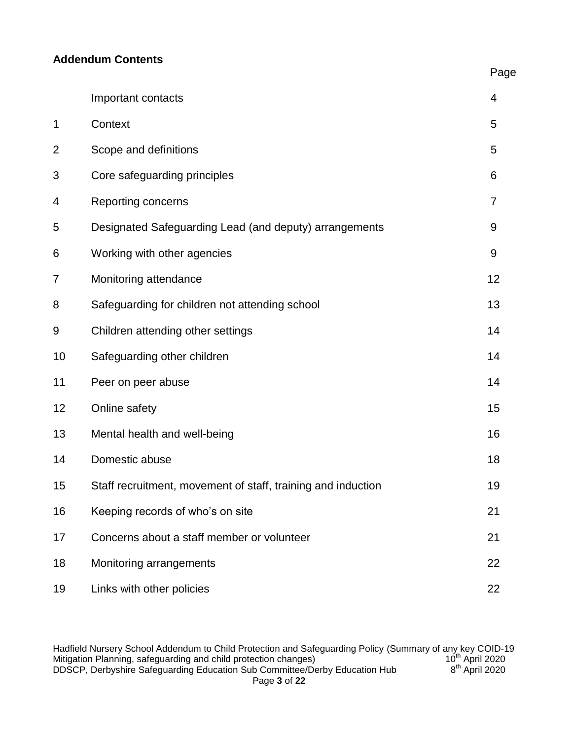#### **Addendum Contents**

|                |                                                              | Page |
|----------------|--------------------------------------------------------------|------|
|                | Important contacts                                           | 4    |
| $\mathbf 1$    | Context                                                      | 5    |
| $\overline{2}$ | Scope and definitions                                        | 5    |
| 3              | Core safeguarding principles                                 | 6    |
| 4              | Reporting concerns                                           | 7    |
| 5              | Designated Safeguarding Lead (and deputy) arrangements       | 9    |
| 6              | Working with other agencies                                  | 9    |
| 7              | Monitoring attendance                                        | 12   |
| 8              | Safeguarding for children not attending school               | 13   |
| 9              | Children attending other settings                            | 14   |
| 10             | Safeguarding other children                                  | 14   |
| 11             | Peer on peer abuse                                           | 14   |
| 12             | Online safety                                                | 15   |
| 13             | Mental health and well-being                                 | 16   |
| 14             | Domestic abuse                                               | 18   |
| 15             | Staff recruitment, movement of staff, training and induction | 19   |
| 16             | Keeping records of who's on site                             | 21   |
| 17             | Concerns about a staff member or volunteer                   | 21   |
| 18             | Monitoring arrangements                                      | 22   |
| 19             | Links with other policies                                    | 22   |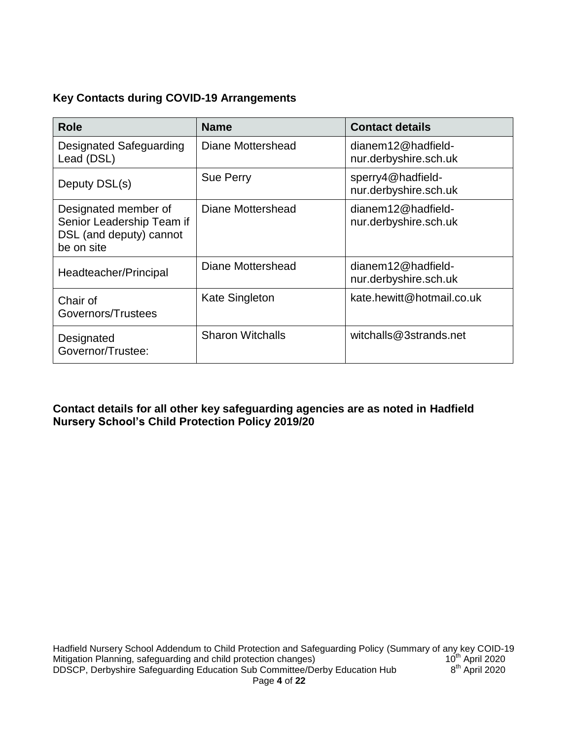# **Key Contacts during COVID-19 Arrangements**

| <b>Role</b>                                                                                | <b>Name</b>             | <b>Contact details</b>                      |
|--------------------------------------------------------------------------------------------|-------------------------|---------------------------------------------|
| Designated Safeguarding<br>Lead (DSL)                                                      | Diane Mottershead       | dianem12@hadfield-<br>nur.derbyshire.sch.uk |
| Deputy DSL(s)                                                                              | <b>Sue Perry</b>        | sperry4@hadfield-<br>nur.derbyshire.sch.uk  |
| Designated member of<br>Senior Leadership Team if<br>DSL (and deputy) cannot<br>be on site | Diane Mottershead       | dianem12@hadfield-<br>nur.derbyshire.sch.uk |
| Headteacher/Principal                                                                      | Diane Mottershead       | dianem12@hadfield-<br>nur.derbyshire.sch.uk |
| Chair of<br>Governors/Trustees                                                             | <b>Kate Singleton</b>   | kate.hewitt@hotmail.co.uk                   |
| Designated<br>Governor/Trustee:                                                            | <b>Sharon Witchalls</b> | witchalls@3strands.net                      |

**Contact details for all other key safeguarding agencies are as noted in Hadfield Nursery School's Child Protection Policy 2019/20**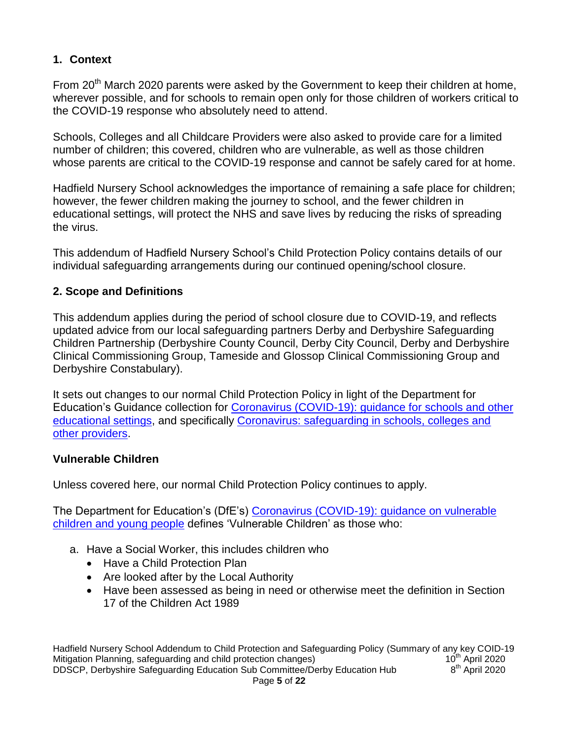# **1. Context**

From 20<sup>th</sup> March 2020 parents were asked by the Government to keep their children at home, wherever possible, and for schools to remain open only for those children of workers critical to the COVID-19 response who absolutely need to attend.

Schools, Colleges and all Childcare Providers were also asked to provide care for a limited number of children; this covered, children who are vulnerable, as well as those children whose parents are critical to the COVID-19 response and cannot be safely cared for at home.

Hadfield Nursery School acknowledges the importance of remaining a safe place for children; however, the fewer children making the journey to school, and the fewer children in educational settings, will protect the NHS and save lives by reducing the risks of spreading the virus.

This addendum of Hadfield Nursery School's Child Protection Policy contains details of our individual safeguarding arrangements during our continued opening/school closure.

# **2. Scope and Definitions**

This addendum applies during the period of school closure due to COVID-19, and reflects updated advice from our local safeguarding partners Derby and Derbyshire Safeguarding Children Partnership (Derbyshire County Council, Derby City Council, Derby and Derbyshire Clinical Commissioning Group, Tameside and Glossop Clinical Commissioning Group and Derbyshire Constabulary).

It sets out changes to our normal Child Protection Policy in light of the Department for Education's Guidance collection for [Coronavirus \(COVID-19\): guidance for schools and other](https://www.gov.uk/government/collections/coronavirus-covid-19-guidance-for-schools-and-other-educational-settings)  [educational settings,](https://www.gov.uk/government/collections/coronavirus-covid-19-guidance-for-schools-and-other-educational-settings) and specifically [Coronavirus: safeguarding in schools, colleges and](https://www.gov.uk/government/publications/covid-19-safeguarding-in-schools-colleges-and-other-providers)  [other providers.](https://www.gov.uk/government/publications/covid-19-safeguarding-in-schools-colleges-and-other-providers)

# **Vulnerable Children**

Unless covered here, our normal Child Protection Policy continues to apply.

The Department for Education's (DfE's) [Coronavirus \(COVID-19\): guidance on vulnerable](https://www.gov.uk/government/publications/coronavirus-covid-19-guidance-on-vulnerable-children-and-young-people/coronavirus-covid-19-guidance-on-vulnerable-children-and-young-people)  [children and young people](https://www.gov.uk/government/publications/coronavirus-covid-19-guidance-on-vulnerable-children-and-young-people/coronavirus-covid-19-guidance-on-vulnerable-children-and-young-people) defines 'Vulnerable Children' as those who:

- a. Have a Social Worker, this includes children who
	- Have a Child Protection Plan
	- Are looked after by the Local Authority
	- Have been assessed as being in need or otherwise meet the definition in Section 17 of the Children Act 1989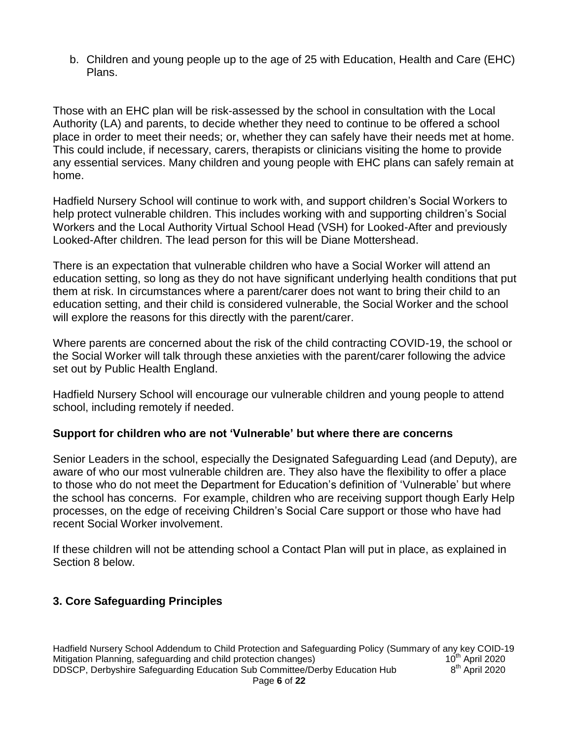b. Children and young people up to the age of 25 with Education, Health and Care (EHC) Plans.

Those with an EHC plan will be risk-assessed by the school in consultation with the Local Authority (LA) and parents, to decide whether they need to continue to be offered a school place in order to meet their needs; or, whether they can safely have their needs met at home. This could include, if necessary, carers, therapists or clinicians visiting the home to provide any essential services. Many children and young people with EHC plans can safely remain at home.

Hadfield Nursery School will continue to work with, and support children's Social Workers to help protect vulnerable children. This includes working with and supporting children's Social Workers and the Local Authority Virtual School Head (VSH) for Looked-After and previously Looked-After children. The lead person for this will be Diane Mottershead.

There is an expectation that vulnerable children who have a Social Worker will attend an education setting, so long as they do not have significant underlying health conditions that put them at risk. In circumstances where a parent/carer does not want to bring their child to an education setting, and their child is considered vulnerable, the Social Worker and the school will explore the reasons for this directly with the parent/carer.

Where parents are concerned about the risk of the child contracting COVID-19, the school or the Social Worker will talk through these anxieties with the parent/carer following the advice set out by Public Health England.

Hadfield Nursery School will encourage our vulnerable children and young people to attend school, including remotely if needed.

#### **Support for children who are not 'Vulnerable' but where there are concerns**

Senior Leaders in the school, especially the Designated Safeguarding Lead (and Deputy), are aware of who our most vulnerable children are. They also have the flexibility to offer a place to those who do not meet the Department for Education's definition of 'Vulnerable' but where the school has concerns. For example, children who are receiving support though Early Help processes, on the edge of receiving Children's Social Care support or those who have had recent Social Worker involvement.

If these children will not be attending school a Contact Plan will put in place, as explained in Section 8 below.

# **3. Core Safeguarding Principles**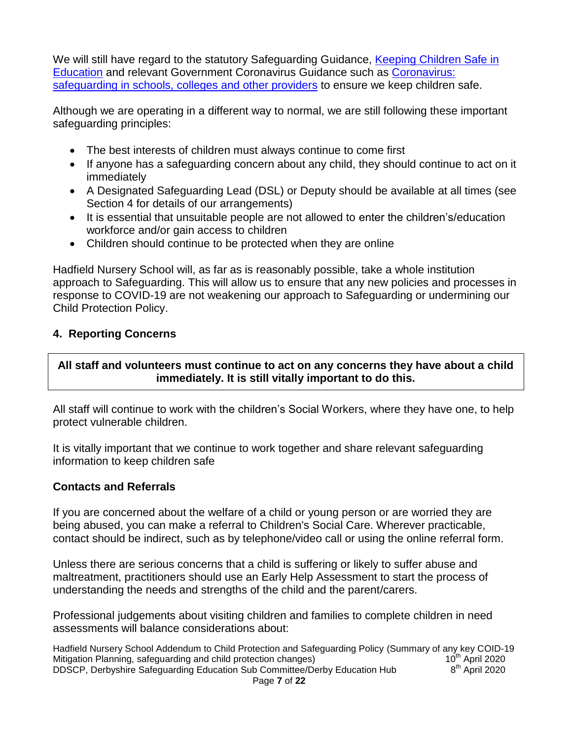We will still have regard to the statutory Safeguarding Guidance, Keeping Children Safe in [Education](https://www.gov.uk/government/publications/keeping-children-safe-in-education--2) and relevant Government Coronavirus Guidance such as [Coronavirus:](https://www.gov.uk/government/publications/covid-19-safeguarding-in-schools-colleges-and-other-providers/coronavirus-covid-19-safeguarding-in-schools-colleges-and-other-providers)  [safeguarding in schools, colleges and other providers](https://www.gov.uk/government/publications/covid-19-safeguarding-in-schools-colleges-and-other-providers/coronavirus-covid-19-safeguarding-in-schools-colleges-and-other-providers) to ensure we keep children safe.

Although we are operating in a different way to normal, we are still following these important safeguarding principles:

- The best interests of children must always continue to come first
- If anyone has a safeguarding concern about any child, they should continue to act on it immediately
- A Designated Safeguarding Lead (DSL) or Deputy should be available at all times (see Section 4 for details of our arrangements)
- It is essential that unsuitable people are not allowed to enter the children's/education workforce and/or gain access to children
- Children should continue to be protected when they are online

Hadfield Nursery School will, as far as is reasonably possible, take a whole institution approach to Safeguarding. This will allow us to ensure that any new policies and processes in response to COVID-19 are not weakening our approach to Safeguarding or undermining our Child Protection Policy.

#### **4. Reporting Concerns**

#### **All staff and volunteers must continue to act on any concerns they have about a child immediately. It is still vitally important to do this.**

All staff will continue to work with the children's Social Workers, where they have one, to help protect vulnerable children.

It is vitally important that we continue to work together and share relevant safeguarding information to keep children safe

#### **Contacts and Referrals**

If you are concerned about the welfare of a child or young person or are worried they are being abused, you can make a referral to Children's Social Care. Wherever practicable, contact should be indirect, such as by telephone/video call or using the online referral form.

Unless there are serious concerns that a child is suffering or likely to suffer abuse and maltreatment, practitioners should use an Early Help Assessment to start the process of understanding the needs and strengths of the child and the parent/carers.

Professional judgements about visiting children and families to complete children in need assessments will balance considerations about:

Hadfield Nursery School Addendum to Child Protection and Safeguarding Policy (Summary of any key COID-19<br>Mitigation Planning, safeguarding and child protection changes) 10<sup>th</sup> April 2020 Mitigation Planning, safeguarding and child protection changes) DDSCP, Derbyshire Safeguarding Education Sub Committee/Derby Education Hub 8  $8<sup>th</sup>$  April 2020 Page **7** of **22**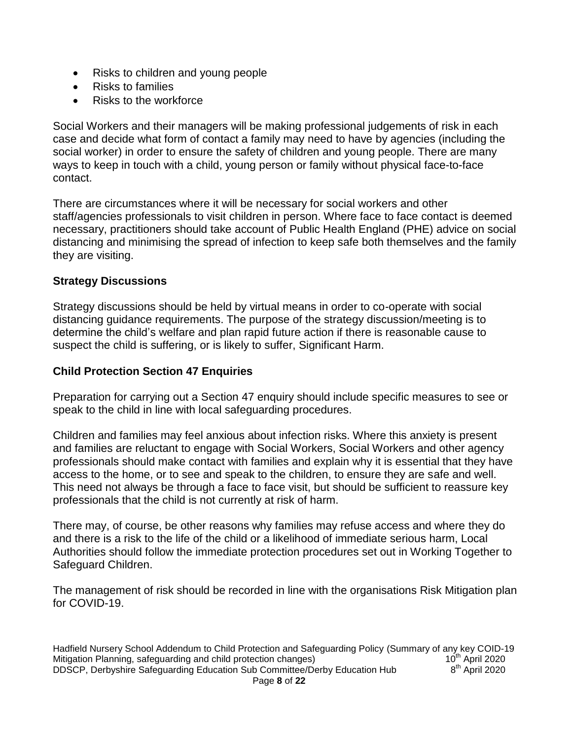- Risks to children and young people
- Risks to families
- Risks to the workforce

Social Workers and their managers will be making professional judgements of risk in each case and decide what form of contact a family may need to have by agencies (including the social worker) in order to ensure the safety of children and young people. There are many ways to keep in touch with a child, young person or family without physical face-to-face contact.

There are circumstances where it will be necessary for social workers and other staff/agencies professionals to visit children in person. Where face to face contact is deemed necessary, practitioners should take account of Public Health England (PHE) advice on social distancing and minimising the spread of infection to keep safe both themselves and the family they are visiting.

#### **Strategy Discussions**

Strategy discussions should be held by virtual means in order to co-operate with social distancing guidance requirements. The purpose of the strategy discussion/meeting is to determine the child's welfare and plan rapid future action if there is reasonable cause to suspect the child is suffering, or is likely to suffer, Significant Harm.

#### **Child Protection Section 47 Enquiries**

Preparation for carrying out a Section 47 enquiry should include specific measures to see or speak to the child in line with local safeguarding procedures.

Children and families may feel anxious about infection risks. Where this anxiety is present and families are reluctant to engage with Social Workers, Social Workers and other agency professionals should make contact with families and explain why it is essential that they have access to the home, or to see and speak to the children, to ensure they are safe and well. This need not always be through a face to face visit, but should be sufficient to reassure key professionals that the child is not currently at risk of harm.

There may, of course, be other reasons why families may refuse access and where they do and there is a risk to the life of the child or a likelihood of immediate serious harm, Local Authorities should follow the immediate protection procedures set out in Working Together to Safeguard Children.

The management of risk should be recorded in line with the organisations Risk Mitigation plan for COVID-19.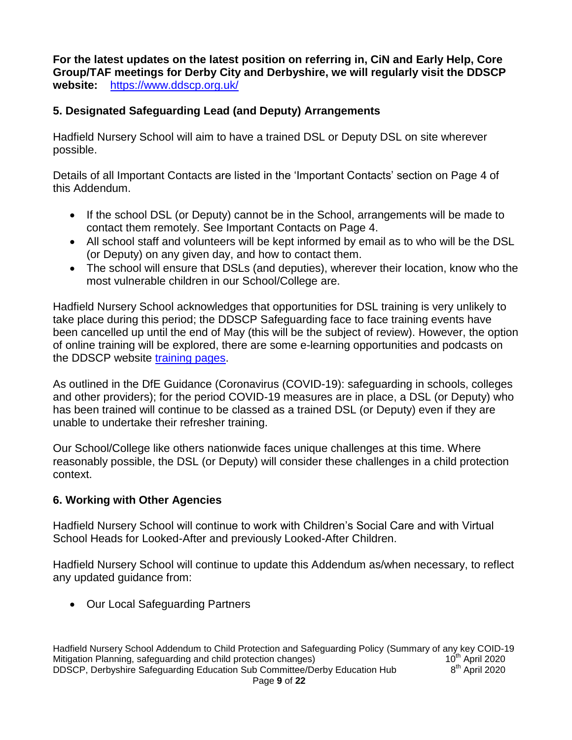**For the latest updates on the latest position on referring in, CiN and Early Help, Core Group/TAF meetings for Derby City and Derbyshire, we will regularly visit the DDSCP website:** <https://www.ddscp.org.uk/>

# **5. Designated Safeguarding Lead (and Deputy) Arrangements**

Hadfield Nursery School will aim to have a trained DSL or Deputy DSL on site wherever possible.

Details of all Important Contacts are listed in the 'Important Contacts' section on Page 4 of this Addendum.

- If the school DSL (or Deputy) cannot be in the School, arrangements will be made to contact them remotely. See Important Contacts on Page 4.
- All school staff and volunteers will be kept informed by email as to who will be the DSL (or Deputy) on any given day, and how to contact them.
- The school will ensure that DSLs (and deputies), wherever their location, know who the most vulnerable children in our School/College are.

Hadfield Nursery School acknowledges that opportunities for DSL training is very unlikely to take place during this period; the DDSCP Safeguarding face to face training events have been cancelled up until the end of May (this will be the subject of review). However, the option of online training will be explored, there are some e-learning opportunities and podcasts on the DDSCP website [training pages.](https://www.ddscp.org.uk/training/)

As outlined in the DfE Guidance (Coronavirus (COVID-19): safeguarding in schools, colleges and other providers); for the period COVID-19 measures are in place, a DSL (or Deputy) who has been trained will continue to be classed as a trained DSL (or Deputy) even if they are unable to undertake their refresher training.

Our School/College like others nationwide faces unique challenges at this time. Where reasonably possible, the DSL (or Deputy) will consider these challenges in a child protection context.

# **6. Working with Other Agencies**

Hadfield Nursery School will continue to work with Children's Social Care and with Virtual School Heads for Looked-After and previously Looked-After Children.

Hadfield Nursery School will continue to update this Addendum as/when necessary, to reflect any updated guidance from:

• Our Local Safeguarding Partners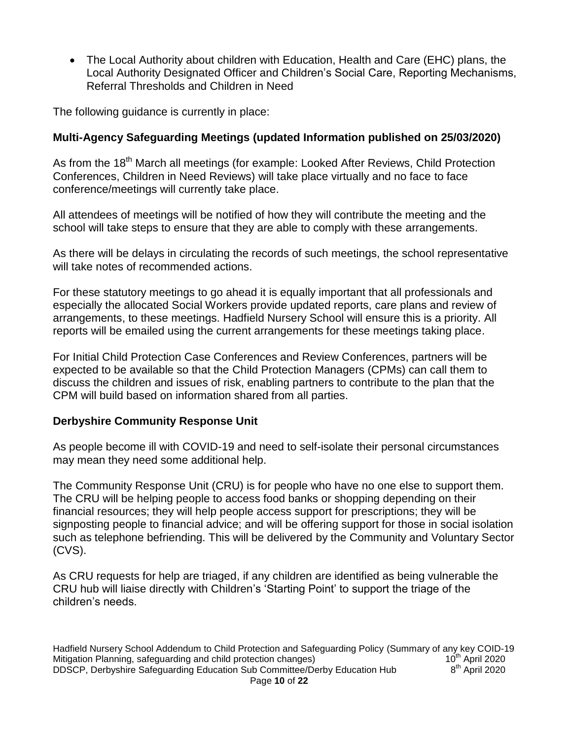The Local Authority about children with Education, Health and Care (EHC) plans, the Local Authority Designated Officer and Children's Social Care, Reporting Mechanisms, Referral Thresholds and Children in Need

The following guidance is currently in place:

# **Multi-Agency Safeguarding Meetings (updated Information published on 25/03/2020)**

As from the 18<sup>th</sup> March all meetings (for example: Looked After Reviews, Child Protection Conferences, Children in Need Reviews) will take place virtually and no face to face conference/meetings will currently take place.

All attendees of meetings will be notified of how they will contribute the meeting and the school will take steps to ensure that they are able to comply with these arrangements.

As there will be delays in circulating the records of such meetings, the school representative will take notes of recommended actions.

For these statutory meetings to go ahead it is equally important that all professionals and especially the allocated Social Workers provide updated reports, care plans and review of arrangements, to these meetings. Hadfield Nursery School will ensure this is a priority. All reports will be emailed using the current arrangements for these meetings taking place.

For Initial Child Protection Case Conferences and Review Conferences, partners will be expected to be available so that the Child Protection Managers (CPMs) can call them to discuss the children and issues of risk, enabling partners to contribute to the plan that the CPM will build based on information shared from all parties.

# **Derbyshire Community Response Unit**

As people become ill with COVID-19 and need to self-isolate their personal circumstances may mean they need some additional help.

The Community Response Unit (CRU) is for people who have no one else to support them. The CRU will be helping people to access food banks or shopping depending on their financial resources; they will help people access support for prescriptions; they will be signposting people to financial advice; and will be offering support for those in social isolation such as telephone befriending. This will be delivered by the Community and Voluntary Sector (CVS).

As CRU requests for help are triaged, if any children are identified as being vulnerable the CRU hub will liaise directly with Children's 'Starting Point' to support the triage of the children's needs.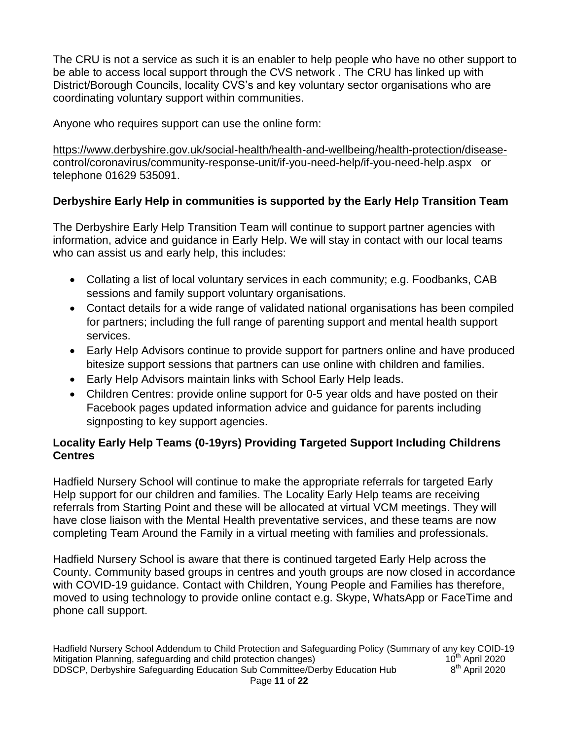The CRU is not a service as such it is an enabler to help people who have no other support to be able to access local support through the CVS network . The CRU has linked up with District/Borough Councils, locality CVS's and key voluntary sector organisations who are coordinating voluntary support within communities.

Anyone who requires support can use the online form:

[https://www.derbyshire.gov.uk/social-health/health-and-wellbeing/health-protection/disease](https://www.derbyshire.gov.uk/social-health/health-and-wellbeing/health-protection/disease-control/coronavirus/community-response-unit/if-you-need-help/if-you-need-help.aspx)[control/coronavirus/community-response-unit/if-you-need-help/if-you-need-help.aspx](https://www.derbyshire.gov.uk/social-health/health-and-wellbeing/health-protection/disease-control/coronavirus/community-response-unit/if-you-need-help/if-you-need-help.aspx) or telephone 01629 535091.

# **Derbyshire Early Help in communities is supported by the Early Help Transition Team**

The Derbyshire Early Help Transition Team will continue to support partner agencies with information, advice and guidance in Early Help. We will stay in contact with our local teams who can assist us and early help, this includes:

- Collating a list of local voluntary services in each community; e.g. Foodbanks, CAB sessions and family support voluntary organisations.
- Contact details for a wide range of validated national organisations has been compiled for partners; including the full range of parenting support and mental health support services.
- Early Help Advisors continue to provide support for partners online and have produced bitesize support sessions that partners can use online with children and families.
- Early Help Advisors maintain links with School Early Help leads.
- Children Centres: provide online support for 0-5 year olds and have posted on their Facebook pages updated information advice and guidance for parents including signposting to key support agencies.

# **Locality Early Help Teams (0-19yrs) Providing Targeted Support Including Childrens Centres**

Hadfield Nursery School will continue to make the appropriate referrals for targeted Early Help support for our children and families. The Locality Early Help teams are receiving referrals from Starting Point and these will be allocated at virtual VCM meetings. They will have close liaison with the Mental Health preventative services, and these teams are now completing Team Around the Family in a virtual meeting with families and professionals.

Hadfield Nursery School is aware that there is continued targeted Early Help across the County. Community based groups in centres and youth groups are now closed in accordance with COVID-19 guidance. Contact with Children, Young People and Families has therefore, moved to using technology to provide online contact e.g. Skype, WhatsApp or FaceTime and phone call support.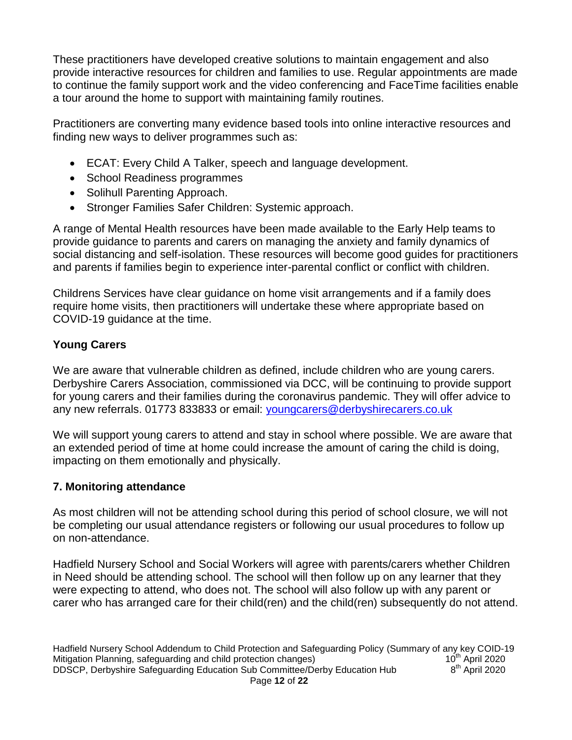These practitioners have developed creative solutions to maintain engagement and also provide interactive resources for children and families to use. Regular appointments are made to continue the family support work and the video conferencing and FaceTime facilities enable a tour around the home to support with maintaining family routines.

Practitioners are converting many evidence based tools into online interactive resources and finding new ways to deliver programmes such as:

- ECAT: Every Child A Talker, speech and language development.
- School Readiness programmes
- Solihull Parenting Approach.
- Stronger Families Safer Children: Systemic approach.

A range of Mental Health resources have been made available to the Early Help teams to provide guidance to parents and carers on managing the anxiety and family dynamics of social distancing and self-isolation. These resources will become good guides for practitioners and parents if families begin to experience inter-parental conflict or conflict with children.

Childrens Services have clear guidance on home visit arrangements and if a family does require home visits, then practitioners will undertake these where appropriate based on COVID-19 guidance at the time.

# **Young Carers**

We are aware that vulnerable children as defined, include children who are young carers. Derbyshire Carers Association, commissioned via DCC, will be continuing to provide support for young carers and their families during the coronavirus pandemic. They will offer advice to any new referrals. 01773 833833 or email: [youngcarers@derbyshirecarers.co.uk](mailto:youngcarers@derbyshirecarers.co.uk)

We will support young carers to attend and stay in school where possible. We are aware that an extended period of time at home could increase the amount of caring the child is doing, impacting on them emotionally and physically.

# **7. Monitoring attendance**

As most children will not be attending school during this period of school closure, we will not be completing our usual attendance registers or following our usual procedures to follow up on non-attendance.

Hadfield Nursery School and Social Workers will agree with parents/carers whether Children in Need should be attending school. The school will then follow up on any learner that they were expecting to attend, who does not. The school will also follow up with any parent or carer who has arranged care for their child(ren) and the child(ren) subsequently do not attend.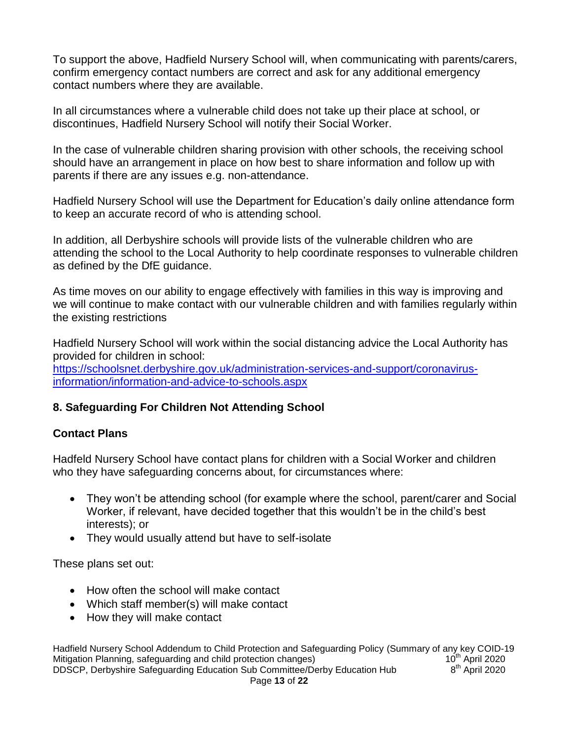To support the above, Hadfield Nursery School will, when communicating with parents/carers, confirm emergency contact numbers are correct and ask for any additional emergency contact numbers where they are available.

In all circumstances where a vulnerable child does not take up their place at school, or discontinues, Hadfield Nursery School will notify their Social Worker.

In the case of vulnerable children sharing provision with other schools, the receiving school should have an arrangement in place on how best to share information and follow up with parents if there are any issues e.g. non-attendance.

Hadfield Nursery School will use the Department for Education's daily online attendance form to keep an accurate record of who is attending school.

In addition, all Derbyshire schools will provide lists of the vulnerable children who are attending the school to the Local Authority to help coordinate responses to vulnerable children as defined by the DfE guidance.

As time moves on our ability to engage effectively with families in this way is improving and we will continue to make contact with our vulnerable children and with families regularly within the existing restrictions

Hadfield Nursery School will work within the social distancing advice the Local Authority has provided for children in school: [https://schoolsnet.derbyshire.gov.uk/administration-services-and-support/coronavirus-](https://schoolsnet.derbyshire.gov.uk/administration-services-and-support/coronavirus-information/information-and-advice-to-schools.aspx)

[information/information-and-advice-to-schools.aspx](https://schoolsnet.derbyshire.gov.uk/administration-services-and-support/coronavirus-information/information-and-advice-to-schools.aspx)

# **8. Safeguarding For Children Not Attending School**

#### **Contact Plans**

Hadfeld Nursery School have contact plans for children with a Social Worker and children who they have safeguarding concerns about, for circumstances where:

- They won't be attending school (for example where the school, parent/carer and Social Worker, if relevant, have decided together that this wouldn't be in the child's best interests); or
- They would usually attend but have to self-isolate

These plans set out:

- How often the school will make contact
- Which staff member(s) will make contact
- How they will make contact

Hadfield Nursery School Addendum to Child Protection and Safeguarding Policy (Summary of any key COID-19<br>Mitigation Planning, safeguarding and child protection changes) 10<sup>th</sup> April 2020 Mitigation Planning, safeguarding and child protection changes) DDSCP, Derbyshire Safeguarding Education Sub Committee/Derby Education Hub 8  $8<sup>th</sup>$  April 2020 Page **13** of **22**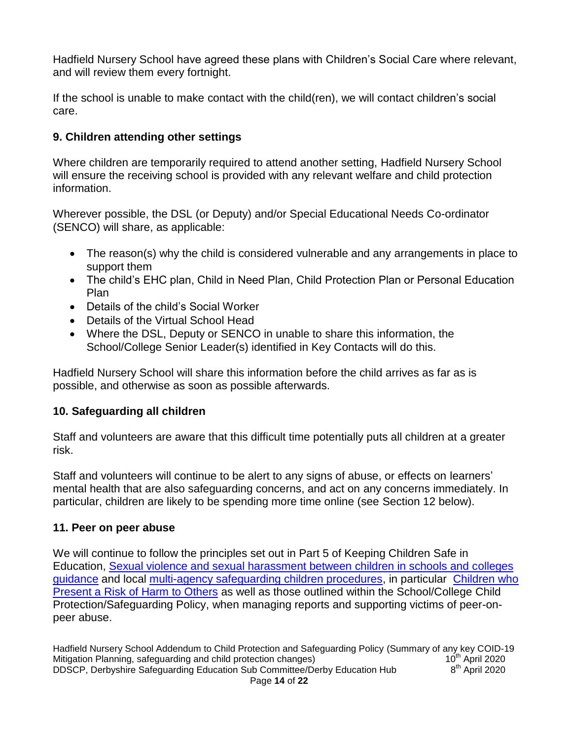Hadfield Nursery School have agreed these plans with Children's Social Care where relevant, and will review them every fortnight.

If the school is unable to make contact with the child(ren), we will contact children's social care.

# **9. Children attending other settings**

Where children are temporarily required to attend another setting, Hadfield Nursery School will ensure the receiving school is provided with any relevant welfare and child protection information.

Wherever possible, the DSL (or Deputy) and/or Special Educational Needs Co-ordinator (SENCO) will share, as applicable:

- The reason(s) why the child is considered vulnerable and any arrangements in place to support them
- The child's EHC plan, Child in Need Plan, Child Protection Plan or Personal Education Plan
- Details of the child's Social Worker
- Details of the Virtual School Head
- Where the DSL, Deputy or SENCO in unable to share this information, the School/College Senior Leader(s) identified in Key Contacts will do this.

Hadfield Nursery School will share this information before the child arrives as far as is possible, and otherwise as soon as possible afterwards.

# **10. Safeguarding all children**

Staff and volunteers are aware that this difficult time potentially puts all children at a greater risk.

Staff and volunteers will continue to be alert to any signs of abuse, or effects on learners' mental health that are also safeguarding concerns, and act on any concerns immediately. In particular, children are likely to be spending more time online (see Section 12 below).

#### **11. Peer on peer abuse**

We will continue to follow the principles set out in Part 5 of Keeping Children Safe in Education, [Sexual violence and sexual harassment between children in schools and colleges](https://www.gov.uk/government/publications/sexual-violence-and-sexual-harassment-between-children-in-schools-and-colleges)  [guidance](https://www.gov.uk/government/publications/sexual-violence-and-sexual-harassment-between-children-in-schools-and-colleges) and local [multi-agency safeguarding children procedures,](https://derbyshirescbs.proceduresonline.com/contents.html) in particular [Children who](https://derbyshirescbs.proceduresonline.com/p_abuse_by_ch_yp.html)  [Present a Risk of Harm to Others](https://derbyshirescbs.proceduresonline.com/p_abuse_by_ch_yp.html) as well as those outlined within the School/College Child Protection/Safeguarding Policy, when managing reports and supporting victims of peer-onpeer abuse.

Hadfield Nursery School Addendum to Child Protection and Safeguarding Policy (Summary of any key COID-19<br>Mitigation Planning, safeguarding and child protection changes) 10<sup>th</sup> April 2020 Mitigation Planning, safeguarding and child protection changes) DDSCP, Derbyshire Safeguarding Education Sub Committee/Derby Education Hub 8  $8<sup>th</sup>$  April 2020 Page **14** of **22**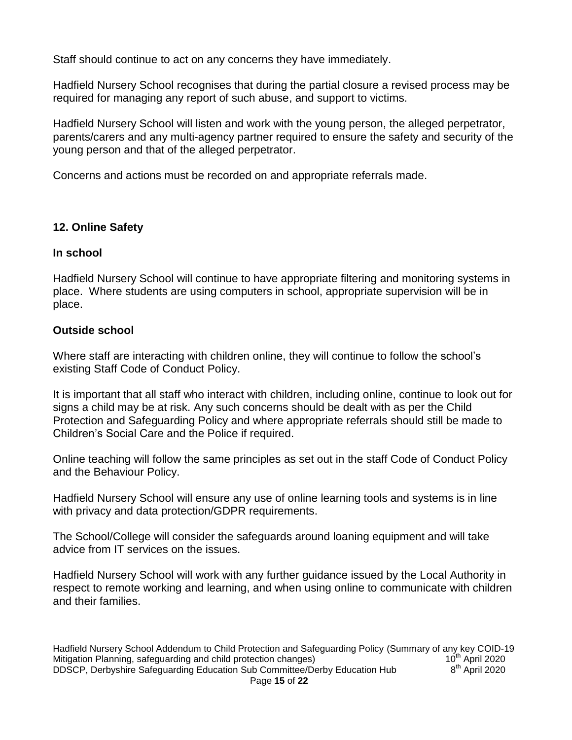Staff should continue to act on any concerns they have immediately.

Hadfield Nursery School recognises that during the partial closure a revised process may be required for managing any report of such abuse, and support to victims.

Hadfield Nursery School will listen and work with the young person, the alleged perpetrator, parents/carers and any multi-agency partner required to ensure the safety and security of the young person and that of the alleged perpetrator.

Concerns and actions must be recorded on and appropriate referrals made.

# **12. Online Safety**

#### **In school**

Hadfield Nursery School will continue to have appropriate filtering and monitoring systems in place. Where students are using computers in school, appropriate supervision will be in place.

# **Outside school**

Where staff are interacting with children online, they will continue to follow the school's existing Staff Code of Conduct Policy.

It is important that all staff who interact with children, including online, continue to look out for signs a child may be at risk. Any such concerns should be dealt with as per the Child Protection and Safeguarding Policy and where appropriate referrals should still be made to Children's Social Care and the Police if required.

Online teaching will follow the same principles as set out in the staff Code of Conduct Policy and the Behaviour Policy.

Hadfield Nursery School will ensure any use of online learning tools and systems is in line with privacy and data protection/GDPR requirements.

The School/College will consider the safeguards around loaning equipment and will take advice from IT services on the issues.

Hadfield Nursery School will work with any further guidance issued by the Local Authority in respect to remote working and learning, and when using online to communicate with children and their families.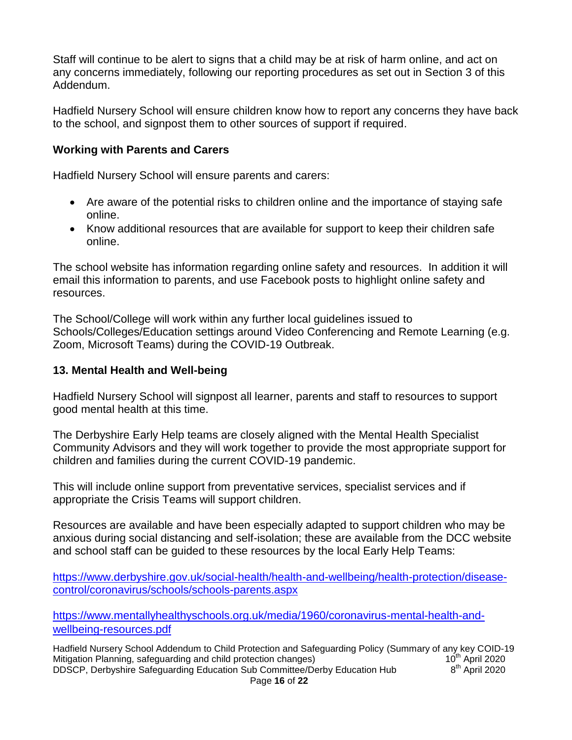Staff will continue to be alert to signs that a child may be at risk of harm online, and act on any concerns immediately, following our reporting procedures as set out in Section 3 of this Addendum.

Hadfield Nursery School will ensure children know how to report any concerns they have back to the school, and signpost them to other sources of support if required.

#### **Working with Parents and Carers**

Hadfield Nursery School will ensure parents and carers:

- Are aware of the potential risks to children online and the importance of staying safe online.
- Know additional resources that are available for support to keep their children safe online.

The school website has information regarding online safety and resources. In addition it will email this information to parents, and use Facebook posts to highlight online safety and resources.

The School/College will work within any further local guidelines issued to Schools/Colleges/Education settings around Video Conferencing and Remote Learning (e.g. Zoom, Microsoft Teams) during the COVID-19 Outbreak.

#### **13. Mental Health and Well-being**

Hadfield Nursery School will signpost all learner, parents and staff to resources to support good mental health at this time.

The Derbyshire Early Help teams are closely aligned with the Mental Health Specialist Community Advisors and they will work together to provide the most appropriate support for children and families during the current COVID-19 pandemic.

This will include online support from preventative services, specialist services and if appropriate the Crisis Teams will support children.

Resources are available and have been especially adapted to support children who may be anxious during social distancing and self-isolation; these are available from the DCC website and school staff can be guided to these resources by the local Early Help Teams:

[https://www.derbyshire.gov.uk/social-health/health-and-wellbeing/health-protection/disease](https://www.derbyshire.gov.uk/social-health/health-and-wellbeing/health-protection/disease-control/coronavirus/schools/schools-parents.aspx)[control/coronavirus/schools/schools-parents.aspx](https://www.derbyshire.gov.uk/social-health/health-and-wellbeing/health-protection/disease-control/coronavirus/schools/schools-parents.aspx)

[https://www.mentallyhealthyschools.org.uk/media/1960/coronavirus-mental-health-and](https://www.mentallyhealthyschools.org.uk/media/1960/coronavirus-mental-health-and-wellbeing-resources.pdf)[wellbeing-resources.pdf](https://www.mentallyhealthyschools.org.uk/media/1960/coronavirus-mental-health-and-wellbeing-resources.pdf)

Hadfield Nursery School Addendum to Child Protection and Safeguarding Policy (Summary of any key COID-19<br>Mitigation Planning, safeguarding and child protection changes) 10<sup>th</sup> April 2020 Mitigation Planning, safeguarding and child protection changes) DDSCP, Derbyshire Safeguarding Education Sub Committee/Derby Education Hub 8  $8<sup>th</sup>$  April 2020 Page **16** of **22**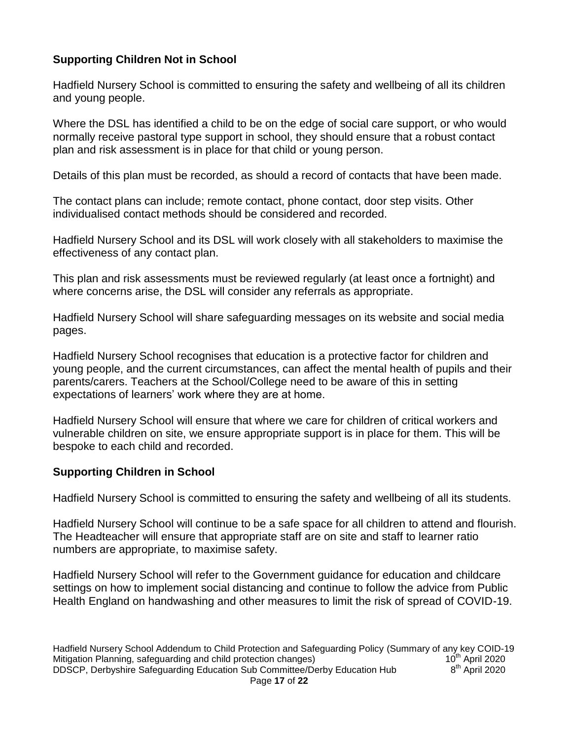# **Supporting Children Not in School**

Hadfield Nursery School is committed to ensuring the safety and wellbeing of all its children and young people.

Where the DSL has identified a child to be on the edge of social care support, or who would normally receive pastoral type support in school, they should ensure that a robust contact plan and risk assessment is in place for that child or young person.

Details of this plan must be recorded, as should a record of contacts that have been made.

The contact plans can include; remote contact, phone contact, door step visits. Other individualised contact methods should be considered and recorded.

Hadfield Nursery School and its DSL will work closely with all stakeholders to maximise the effectiveness of any contact plan.

This plan and risk assessments must be reviewed regularly (at least once a fortnight) and where concerns arise, the DSL will consider any referrals as appropriate.

Hadfield Nursery School will share safeguarding messages on its website and social media pages.

Hadfield Nursery School recognises that education is a protective factor for children and young people, and the current circumstances, can affect the mental health of pupils and their parents/carers. Teachers at the School/College need to be aware of this in setting expectations of learners' work where they are at home.

Hadfield Nursery School will ensure that where we care for children of critical workers and vulnerable children on site, we ensure appropriate support is in place for them. This will be bespoke to each child and recorded.

# **Supporting Children in School**

Hadfield Nursery School is committed to ensuring the safety and wellbeing of all its students.

Hadfield Nursery School will continue to be a safe space for all children to attend and flourish. The Headteacher will ensure that appropriate staff are on site and staff to learner ratio numbers are appropriate, to maximise safety.

Hadfield Nursery School will refer to the Government guidance for education and childcare settings on how to implement social distancing and continue to follow the advice from Public Health England on handwashing and other measures to limit the risk of spread of COVID-19.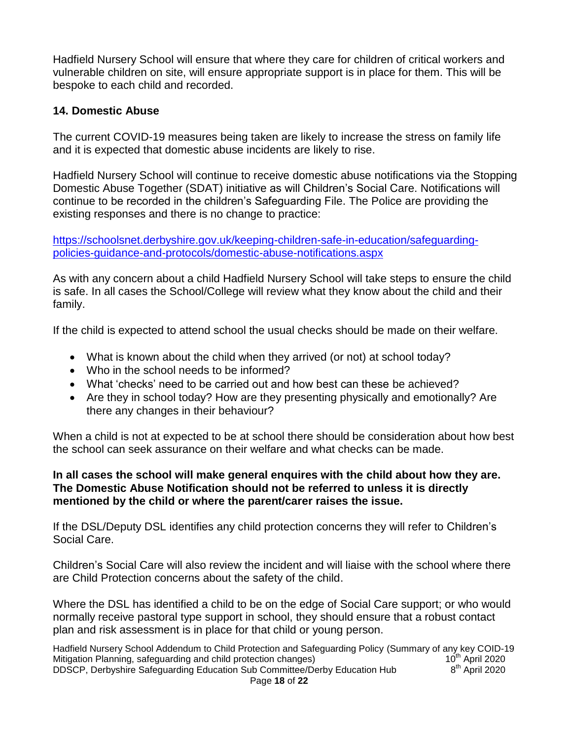Hadfield Nursery School will ensure that where they care for children of critical workers and vulnerable children on site, will ensure appropriate support is in place for them. This will be bespoke to each child and recorded.

#### **14. Domestic Abuse**

The current COVID-19 measures being taken are likely to increase the stress on family life and it is expected that domestic abuse incidents are likely to rise.

Hadfield Nursery School will continue to receive domestic abuse notifications via the Stopping Domestic Abuse Together (SDAT) initiative as will Children's Social Care. Notifications will continue to be recorded in the children's Safeguarding File. The Police are providing the existing responses and there is no change to practice:

[https://schoolsnet.derbyshire.gov.uk/keeping-children-safe-in-education/safeguarding](https://schoolsnet.derbyshire.gov.uk/keeping-children-safe-in-education/safeguarding-policies-guidance-and-protocols/domestic-abuse-notifications.aspx)[policies-guidance-and-protocols/domestic-abuse-notifications.aspx](https://schoolsnet.derbyshire.gov.uk/keeping-children-safe-in-education/safeguarding-policies-guidance-and-protocols/domestic-abuse-notifications.aspx)

As with any concern about a child Hadfield Nursery School will take steps to ensure the child is safe. In all cases the School/College will review what they know about the child and their family.

If the child is expected to attend school the usual checks should be made on their welfare.

- What is known about the child when they arrived (or not) at school today?
- Who in the school needs to be informed?
- What 'checks' need to be carried out and how best can these be achieved?
- Are they in school today? How are they presenting physically and emotionally? Are there any changes in their behaviour?

When a child is not at expected to be at school there should be consideration about how best the school can seek assurance on their welfare and what checks can be made.

#### **In all cases the school will make general enquires with the child about how they are. The Domestic Abuse Notification should not be referred to unless it is directly mentioned by the child or where the parent/carer raises the issue.**

If the DSL/Deputy DSL identifies any child protection concerns they will refer to Children's Social Care.

Children's Social Care will also review the incident and will liaise with the school where there are Child Protection concerns about the safety of the child.

Where the DSL has identified a child to be on the edge of Social Care support; or who would normally receive pastoral type support in school, they should ensure that a robust contact plan and risk assessment is in place for that child or young person.

Hadfield Nursery School Addendum to Child Protection and Safeguarding Policy (Summary of any key COID-19<br>Mitigation Planning, safeguarding and child protection changes) 10<sup>th</sup> April 2020 Mitigation Planning, safeguarding and child protection changes) DDSCP, Derbyshire Safeguarding Education Sub Committee/Derby Education Hub 8  $8<sup>th</sup>$  April 2020 Page **18** of **22**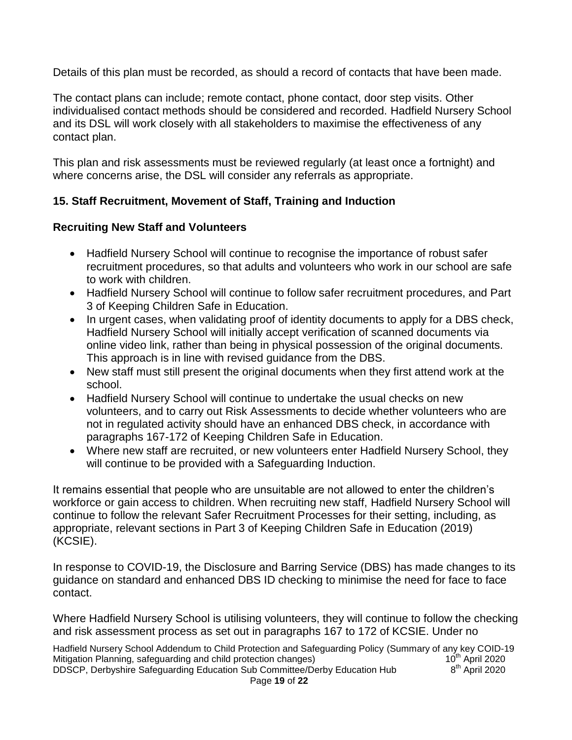Details of this plan must be recorded, as should a record of contacts that have been made.

The contact plans can include; remote contact, phone contact, door step visits. Other individualised contact methods should be considered and recorded. Hadfield Nursery School and its DSL will work closely with all stakeholders to maximise the effectiveness of any contact plan.

This plan and risk assessments must be reviewed regularly (at least once a fortnight) and where concerns arise, the DSL will consider any referrals as appropriate.

# **15. Staff Recruitment, Movement of Staff, Training and Induction**

# **Recruiting New Staff and Volunteers**

- Hadfield Nursery School will continue to recognise the importance of robust safer recruitment procedures, so that adults and volunteers who work in our school are safe to work with children.
- Hadfield Nursery School will continue to follow safer recruitment procedures, and Part 3 of Keeping Children Safe in Education.
- In urgent cases, when validating proof of identity documents to apply for a DBS check, Hadfield Nursery School will initially accept verification of scanned documents via online video link, rather than being in physical possession of the original documents. This approach is in line with revised guidance from the DBS.
- New staff must still present the original documents when they first attend work at the school.
- Hadfield Nursery School will continue to undertake the usual checks on new volunteers, and to carry out Risk Assessments to decide whether volunteers who are not in regulated activity should have an enhanced DBS check, in accordance with paragraphs 167-172 of Keeping Children Safe in Education.
- Where new staff are recruited, or new volunteers enter Hadfield Nursery School, they will continue to be provided with a Safeguarding Induction.

It remains essential that people who are unsuitable are not allowed to enter the children's workforce or gain access to children. When recruiting new staff, Hadfield Nursery School will continue to follow the relevant Safer Recruitment Processes for their setting, including, as appropriate, relevant sections in Part 3 of Keeping Children Safe in Education (2019) (KCSIE).

In response to COVID-19, the Disclosure and Barring Service (DBS) has made changes to its guidance on standard and enhanced DBS ID checking to minimise the need for face to face contact.

Where Hadfield Nursery School is utilising volunteers, they will continue to follow the checking and risk assessment process as set out in paragraphs 167 to 172 of KCSIE. Under no

Hadfield Nursery School Addendum to Child Protection and Safeguarding Policy (Summary of any key COID-19<br>Mitigation Planning, safeguarding and child protection changes) 10<sup>th</sup> April 2020 Mitigation Planning, safeguarding and child protection changes) DDSCP, Derbyshire Safeguarding Education Sub Committee/Derby Education Hub 8  $8<sup>th</sup>$  April 2020 Page **19** of **22**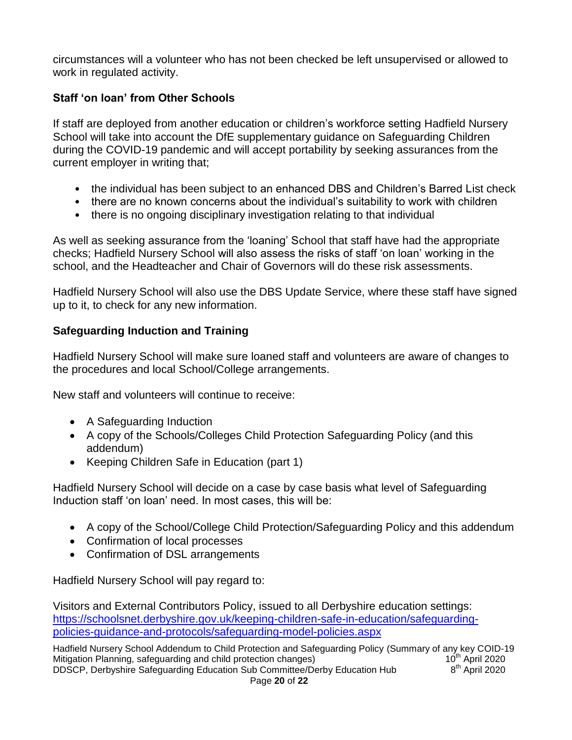circumstances will a volunteer who has not been checked be left unsupervised or allowed to work in regulated activity.

# **Staff 'on loan' from Other Schools**

If staff are deployed from another education or children's workforce setting Hadfield Nursery School will take into account the DfE supplementary guidance on Safeguarding Children during the COVID-19 pandemic and will accept portability by seeking assurances from the current employer in writing that;

- the individual has been subject to an enhanced DBS and Children's Barred List check
- there are no known concerns about the individual's suitability to work with children
- there is no ongoing disciplinary investigation relating to that individual

As well as seeking assurance from the 'loaning' School that staff have had the appropriate checks; Hadfield Nursery School will also assess the risks of staff 'on loan' working in the school, and the Headteacher and Chair of Governors will do these risk assessments.

Hadfield Nursery School will also use the DBS Update Service, where these staff have signed up to it, to check for any new information.

# **Safeguarding Induction and Training**

Hadfield Nursery School will make sure loaned staff and volunteers are aware of changes to the procedures and local School/College arrangements.

New staff and volunteers will continue to receive:

- A Safeguarding Induction
- A copy of the Schools/Colleges Child Protection Safeguarding Policy (and this addendum)
- Keeping Children Safe in Education (part 1)

Hadfield Nursery School will decide on a case by case basis what level of Safeguarding Induction staff 'on loan' need. In most cases, this will be:

- A copy of the School/College Child Protection/Safeguarding Policy and this addendum
- Confirmation of local processes
- Confirmation of DSL arrangements

Hadfield Nursery School will pay regard to:

Visitors and External Contributors Policy, issued to all Derbyshire education settings: [https://schoolsnet.derbyshire.gov.uk/keeping-children-safe-in-education/safeguarding](https://schoolsnet.derbyshire.gov.uk/keeping-children-safe-in-education/safeguarding-policies-guidance-and-protocols/safeguarding-model-policies.aspx)[policies-guidance-and-protocols/safeguarding-model-policies.aspx](https://schoolsnet.derbyshire.gov.uk/keeping-children-safe-in-education/safeguarding-policies-guidance-and-protocols/safeguarding-model-policies.aspx)

Hadfield Nursery School Addendum to Child Protection and Safeguarding Policy (Summary of any key COID-19<br>Mitigation Planning, safeguarding and child protection changes) 10<sup>th</sup> April 2020 Mitigation Planning, safeguarding and child protection changes) DDSCP, Derbyshire Safeguarding Education Sub Committee/Derby Education Hub 8  $8<sup>th</sup>$  April 2020 Page **20** of **22**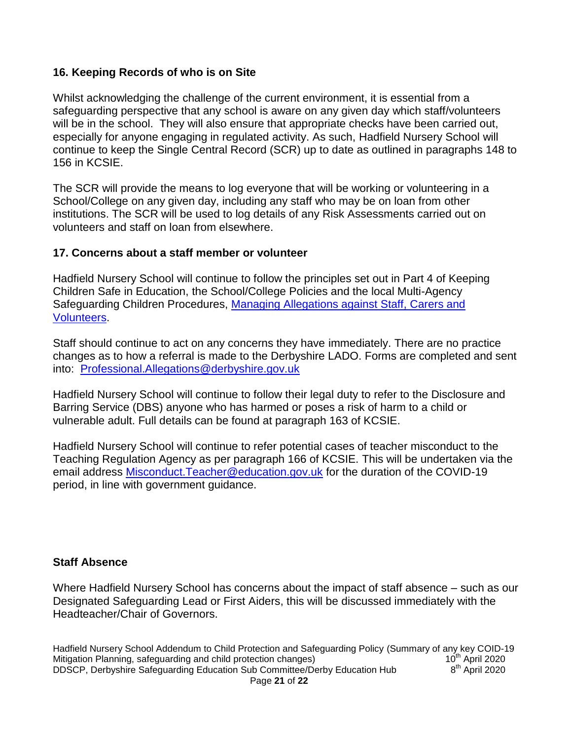#### **16. Keeping Records of who is on Site**

Whilst acknowledging the challenge of the current environment, it is essential from a safeguarding perspective that any school is aware on any given day which staff/volunteers will be in the school. They will also ensure that appropriate checks have been carried out, especially for anyone engaging in regulated activity. As such, Hadfield Nursery School will continue to keep the Single Central Record (SCR) up to date as outlined in paragraphs 148 to 156 in KCSIE.

The SCR will provide the means to log everyone that will be working or volunteering in a School/College on any given day, including any staff who may be on loan from other institutions. The SCR will be used to log details of any Risk Assessments carried out on volunteers and staff on loan from elsewhere.

#### **17. Concerns about a staff member or volunteer**

Hadfield Nursery School will continue to follow the principles set out in Part 4 of Keeping Children Safe in Education, the School/College Policies and the local Multi-Agency Safeguarding Children Procedures, [Managing Allegations against Staff, Carers and](https://derbyshirescbs.proceduresonline.com/p_alleg_staff_carer_volunteer.html)  [Volunteers.](https://derbyshirescbs.proceduresonline.com/p_alleg_staff_carer_volunteer.html)

Staff should continue to act on any concerns they have immediately. There are no practice changes as to how a referral is made to the Derbyshire LADO. Forms are completed and sent into: [Professional.Allegations@derbyshire.gov.uk](mailto:Professional.Allegations@derbyshire.gov.uk)

Hadfield Nursery School will continue to follow their legal duty to refer to the Disclosure and Barring Service (DBS) anyone who has harmed or poses a risk of harm to a child or vulnerable adult. Full details can be found at paragraph 163 of KCSIE.

Hadfield Nursery School will continue to refer potential cases of teacher misconduct to the Teaching Regulation Agency as per paragraph 166 of KCSIE. This will be undertaken via the email address Misconduct. Teacher@education.gov.uk for the duration of the COVID-19 period, in line with government guidance.

#### **Staff Absence**

Where Hadfield Nursery School has concerns about the impact of staff absence – such as our Designated Safeguarding Lead or First Aiders, this will be discussed immediately with the Headteacher/Chair of Governors.

Hadfield Nursery School Addendum to Child Protection and Safeguarding Policy (Summary of any key COID-19<br>Mitigation Planning, safeguarding and child protection changes) 10<sup>th</sup> April 2020 Mitigation Planning, safeguarding and child protection changes) DDSCP, Derbyshire Safeguarding Education Sub Committee/Derby Education Hub 8  $8<sup>th</sup>$  April 2020 Page **21** of **22**